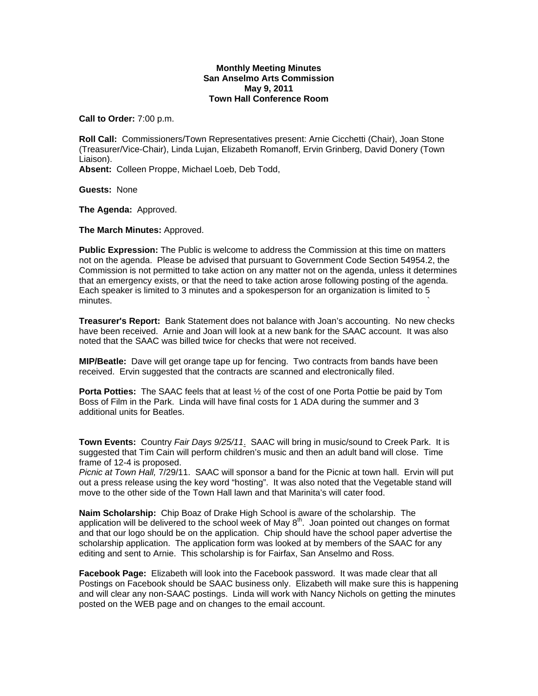## **Monthly Meeting Minutes San Anselmo Arts Commission May 9, 2011 Town Hall Conference Room**

**Call to Order:** 7:00 p.m.

**Roll Call:** Commissioners/Town Representatives present: Arnie Cicchetti (Chair), Joan Stone (Treasurer/Vice-Chair), Linda Lujan, Elizabeth Romanoff, Ervin Grinberg, David Donery (Town Liaison).

**Absent:** Colleen Proppe, Michael Loeb, Deb Todd,

**Guests:** None

**The Agenda:** Approved.

**The March Minutes:** Approved.

**Public Expression:** The Public is welcome to address the Commission at this time on matters not on the agenda. Please be advised that pursuant to Government Code Section 54954.2, the Commission is not permitted to take action on any matter not on the agenda, unless it determines that an emergency exists, or that the need to take action arose following posting of the agenda. Each speaker is limited to 3 minutes and a spokesperson for an organization is limited to 5  $m$ inutes.  $\sim$ 

**Treasurer's Report:** Bank Statement does not balance with Joan's accounting. No new checks have been received. Arnie and Joan will look at a new bank for the SAAC account. It was also noted that the SAAC was billed twice for checks that were not received.

**MIP/Beatle:** Dave will get orange tape up for fencing. Two contracts from bands have been received. Ervin suggested that the contracts are scanned and electronically filed.

**Porta Potties:** The SAAC feels that at least ½ of the cost of one Porta Pottie be paid by Tom Boss of Film in the Park. Linda will have final costs for 1 ADA during the summer and 3 additional units for Beatles.

**Town Events:** Country *Fair Days 9/25/11*. SAAC will bring in music/sound to Creek Park. It is suggested that Tim Cain will perform children's music and then an adult band will close. Time frame of 12-4 is proposed.

*Picnic at Town Hall,* 7/29/11. SAAC will sponsor a band for the Picnic at town hall. Ervin will put out a press release using the key word "hosting". It was also noted that the Vegetable stand will move to the other side of the Town Hall lawn and that Marinita's will cater food.

**Naim Scholarship:** Chip Boaz of Drake High School is aware of the scholarship. The application will be delivered to the school week of May  $8<sup>th</sup>$ . Joan pointed out changes on format and that our logo should be on the application. Chip should have the school paper advertise the scholarship application. The application form was looked at by members of the SAAC for any editing and sent to Arnie. This scholarship is for Fairfax, San Anselmo and Ross.

**Facebook Page:** Elizabeth will look into the Facebook password. It was made clear that all Postings on Facebook should be SAAC business only. Elizabeth will make sure this is happening and will clear any non-SAAC postings. Linda will work with Nancy Nichols on getting the minutes posted on the WEB page and on changes to the email account.